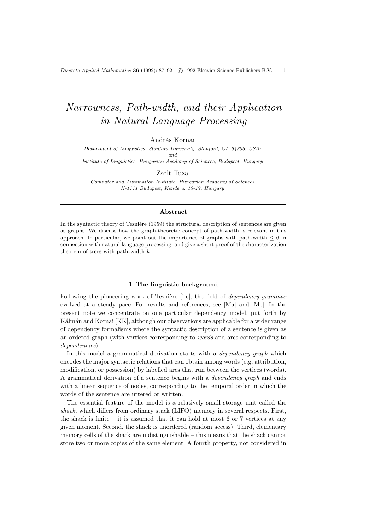Discrete Applied Mathematics 36 (1992): 87–92  $\odot$  1992 Elsevier Science Publishers B.V. 1

# Narrowness, Path-width, and their Application in Natural Language Processing

András Kornai

Department of Linguistics, Stanford University, Stanford, CA 94305, USA; and Institute of Linguistics, Hungarian Academy of Sciences, Budapest, Hungary

Zsolt Tuza

Computer and Automation Institute, Hungarian Academy of Sciences H-1111 Budapest, Kende u. 13-17, Hungary

## Abstract

In the syntactic theory of Tesnière  $(1959)$  the structural description of sentences are given as graphs. We discuss how the graph-theoretic concept of path-width is relevant in this approach. In particular, we point out the importance of graphs with path-width  $\leq 6$  in connection with natural language processing, and give a short proof of the characterization theorem of trees with path-width k.

# 1 The linguistic background

Following the pioneering work of Tesnière [Te], the field of *dependency grammar* evolved at a steady pace. For results and references, see [Ma] and [Me]. In the present note we concentrate on one particular dependency model, put forth by Kálmán and Kornai [KK], although our observations are applicable for a wider range of dependency formalisms where the syntactic description of a sentence is given as an ordered graph (with vertices corresponding to words and arcs corresponding to dependencies).

In this model a grammatical derivation starts with a *dependency graph* which encodes the major syntactic relations that can obtain among words (e.g. attribution, modification, or possession) by labelled arcs that run between the vertices (words). A grammatical derivation of a sentence begins with a dependency graph and ends with a linear sequence of nodes, corresponding to the temporal order in which the words of the sentence are uttered or written.

The essential feature of the model is a relatively small storage unit called the shack, which differs from ordinary stack (LIFO) memory in several respects. First, the shack is finite – it is assumed that it can hold at most 6 or 7 vertices at any given moment. Second, the shack is unordered (random access). Third, elementary memory cells of the shack are indistinguishable – this means that the shack cannot store two or more copies of the same element. A fourth property, not considered in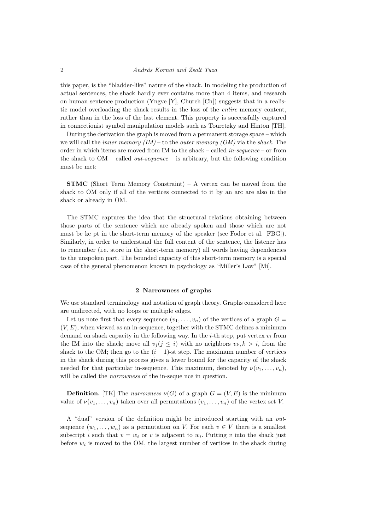this paper, is the "bladder-like" nature of the shack. In modeling the production of actual sentences, the shack hardly ever contains more than 4 items, and research on human sentence production (Yngve [Y], Church [Ch]) suggests that in a realistic model overloading the shack results in the loss of the entire memory content, rather than in the loss of the last element. This property is successfully captured in connectionist symbol manipulation models such as Touretzky and Hinton [TH].

During the derivation the graph is moved from a permanent storage space – which we will call the *inner memory*  $(IM)$  – to the *outer memory*  $(OM)$  via the *shack*. The order in which items are moved from IM to the shack – called in-sequence – or from the shack to  $OM$  – called *out-sequence* – is arbitrary, but the following condition must be met:

STMC (Short Term Memory Constraint) – A vertex can be moved from the shack to OM only if all of the vertices connected to it by an arc are also in the shack or already in OM.

The STMC captures the idea that the structural relations obtaining between those parts of the sentence which are already spoken and those which are not must be ke pt in the short-term memory of the speaker (see Fodor et al. [FBG]). Similarly, in order to understand the full content of the sentence, the listener has to remember (i.e. store in the short-term memory) all words having dependencies to the unspoken part. The bounded capacity of this short-term memory is a special case of the general phenomenon known in psychology as "Miller's Law" [Mi].

#### 2 Narrowness of graphs

We use standard terminology and notation of graph theory. Graphs considered here are undirected, with no loops or multiple edges.

Let us note first that every sequence  $(v_1, \ldots, v_n)$  of the vertices of a graph  $G =$  $(V, E)$ , when viewed as an in-sequence, together with the STMC defines a minimum demand on shack capacity in the following way. In the *i*-th step, put vertex  $v_i$  from the IM into the shack; move all  $v_i (j \leq i)$  with no neighbors  $v_k, k > i$ , from the shack to the OM; then go to the  $(i + 1)$ -st step. The maximum number of vertices in the shack during this process gives a lower bound for the capacity of the shack needed for that particular in-sequence. This maximum, denoted by  $\nu(v_1, \ldots, v_n)$ , will be called the *narrowness* of the in-seque nce in question.

**Definition.** [TK] The narrowness  $\nu(G)$  of a graph  $G = (V, E)$  is the minimum value of  $\nu(v_1,\ldots,v_n)$  taken over all permutations  $(v_1,\ldots,v_n)$  of the vertex set V.

A "dual" version of the definition might be introduced starting with an outsequence  $(w_1, \ldots, w_n)$  as a permutation on V. For each  $v \in V$  there is a smallest subscript *i* such that  $v = w_i$  or *v* is adjacent to  $w_i$ . Putting *v* into the shack just before  $w_i$  is moved to the OM, the largest number of vertices in the shack during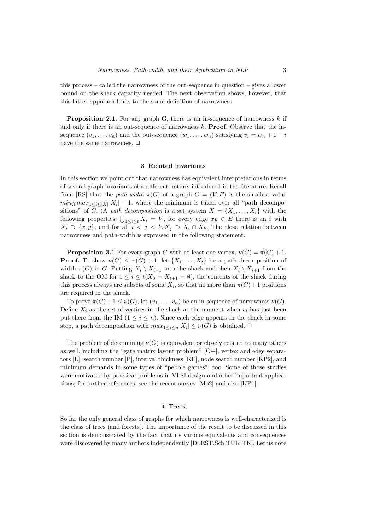this process – called the narrowness of the out-sequence in question – gives a lower bound on the shack capacity needed. The next observation shows, however, that this latter approach leads to the same definition of narrowness.

**Proposition 2.1.** For any graph G, there is an in-sequence of narrowness  $k$  if and only if there is an out-sequence of narrowness k. **Proof.** Observe that the insequence  $(v_1, \ldots, v_n)$  and the out-sequence  $(w_1, \ldots, w_n)$  satisfying  $v_i = w_n + 1 - i$ have the same narrowness.  $\Box$ 

## 3 Related invariants

In this section we point out that narrowness has equivalent interpretations in terms of several graph invariants of a different nature, introduced in the literature. Recall from [RS] that the path-width  $\pi(G)$  of a graph  $G = (V, E)$  is the smallest value  $min_X max_{1 \leq i \leq |X|} |X_i| - 1$ , where the minimum is taken over all "path decompositions" of G. (A path decomposition is a set system  $X = \{X_1, \ldots, X_t\}$  with the following properties:  $\bigcup_{1 \leq i \leq t} X_i = V$ , for every edge  $xy \in E$  there is an i with  $X_i \supset \{x, y\}$ , and for all  $i < j < k, X_j \supset X_i \cap X_k$ . The close relation between narrowness and path-width is expressed in the following statement.

**Proposition 3.1** For every graph G with at least one vertex,  $\nu(G) = \pi(G) + 1$ . **Proof.** To show  $\nu(G) \leq \pi(G) + 1$ , let  $\{X_1, \ldots, X_t\}$  be a path decomposition of width  $\pi(G)$  in G. Putting  $X_i \setminus X_{i-1}$  into the shack and then  $X_i \setminus X_{i+1}$  from the shack to the OM for  $1 \leq i \leq t(X_0 = X_{t+1} = \emptyset)$ , the contents of the shack during this process always are subsets of some  $X_i$ , so that no more than  $\pi(G) + 1$  positions are required in the shack.

To prove  $\pi(G) + 1 \leq \nu(G)$ , let  $(v_1, \ldots, v_n)$  be an in-sequence of narrowness  $\nu(G)$ . Define  $X_i$  as the set of vertices in the shack at the moment when  $v_i$  has just been put there from the IM  $(1 \leq i \leq n)$ . Since each edge appears in the shack in some step, a path decomposition with  $max_{1 \leq i \leq n} |X_i| \leq \nu(G)$  is obtained.  $\Box$ 

The problem of determining  $\nu(G)$  is equivalent or closely related to many others as well, including the "gate matrix layout problem" [O+], vertex and edge separators [L], search number [P], interval thickness [KF], node search number [KP2], and minimum demands in some types of "pebble games", too. Some of those studies were motivated by practical problems in VLSI design and other important applications; for further references, see the recent survey [Mo2] and also [KP1].

# 4 Trees

So far the only general class of graphs for which narrowness is well-characterized is the class of trees (and forests). The importance of the result to be discussed in this section is demonstrated by the fact that its various equivalents and consequences were discovered by many authors independently [Di,EST,Sch,TUK,TK]. Let us note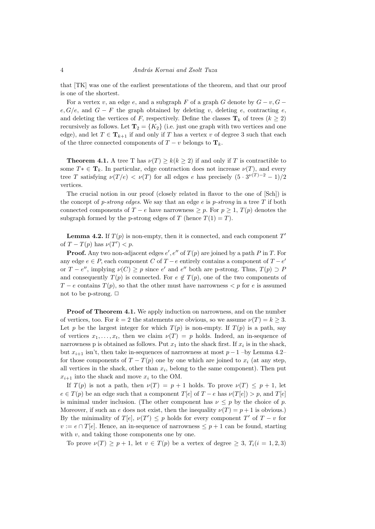that [TK] was one of the earliest presentations of the theorem, and that our proof is one of the shortest.

For a vertex v, an edge e, and a subgraph F of a graph G denote by  $G - v$ ,  $G - v$ e,  $G/e$ , and  $G - F$  the graph obtained by deleting v, deleting e, contracting e, and deleting the vertices of F, respectively. Define the classes  $\mathbf{T}_k$  of trees  $(k \geq 2)$ recursively as follows. Let  $T_2 = \{K_2\}$  (i.e. just one graph with two vertices and one edge), and let  $T \in \mathbf{T}_{k+1}$  if and only if T has a vertex v of degree 3 such that each of the three connected components of  $T - v$  belongs to  $\mathbf{T}_k$ .

**Theorem 4.1.** A tree T has  $\nu(T) \geq k(k \geq 2)$  if and only if T is contractible to some  $T^* \in \mathbf{T}_k$ . In particular, edge contraction does not increase  $\nu(T)$ , and every tree T satisfying  $\nu(T/e) < \nu(T)$  for all edges e has precisely  $(5 \cdot 3^{\nu(T)-2} - 1)/2$ vertices.

The crucial notion in our proof (closely related in flavor to the one of [Sch]) is the concept of p-strong edges. We say that an edge  $e$  is p-strong in a tree  $T$  if both connected components of  $T - e$  have narrowness  $\geq p$ . For  $p \geq 1$ ,  $T(p)$  denotes the subgraph formed by the p-strong edges of T (hence  $T(1) = T$ ).

**Lemma 4.2.** If  $T(p)$  is non-empty, then it is connected, and each component  $T'$ of  $T - T(p)$  has  $\nu(T') < p$ .

**Proof.** Any two non-adjacent edges  $e'$ ,  $e''$  of  $T(p)$  are joined by a path P in T. For any edge  $e \in P$ , each component C of  $T - e$  entirely contains a component of  $T - e'$ or  $T - e''$ , implying  $\nu(C) \geq p$  since e' and e'' both are p-strong. Thus,  $T(p) \supset P$ and consequently  $T(p)$  is connected. For  $e \notin T(p)$ , one of the two components of  $T - e$  contains  $T(p)$ , so that the other must have narrowness  $\lt p$  for e is assumed not to be p-strong.  $\Box$ 

Proof of Theorem 4.1. We apply induction on narrowness, and on the number of vertices, too. For  $k = 2$  the statements are obvious, so we assume  $\nu(T) = k \geq 3$ . Let p be the largest integer for which  $T(p)$  is non-empty. If  $T(p)$  is a path, say of vertices  $x_1, \ldots, x_t$ , then we claim  $\nu(T) = p$  holds. Indeed, an in-sequence of narrowness p is obtained as follows. Put  $x_1$  into the shack first. If  $x_i$  is in the shack, but  $x_{i+1}$  isn't, then take in-sequences of narrowness at most  $p-1$  –by Lemma 4.2– for those components of  $T - T(p)$  one by one which are joined to  $x_i$  (at any step, all vertices in the shack, other than  $x_i$ , belong to the same component). Then put  $x_{i+1}$  into the shack and move  $x_i$  to the OM.

If  $T(p)$  is not a path, then  $\nu(T) = p + 1$  holds. To prove  $\nu(T) \leq p + 1$ , let  $e \in T(p)$  be an edge such that a component  $T[e]$  of  $T - e$  has  $\nu(T[e]) > p$ , and  $T[e]$ is minimal under inclusion. (The other component has  $\nu \leq p$  by the choice of p. Moreover, if such an e does not exist, then the inequality  $\nu(T) = p + 1$  is obvious.) By the minimality of  $T[e]$ ,  $\nu(T') \leq p$  holds for every component  $T'$  of  $T - v$  for  $v := e \cap T[e]$ . Hence, an in-sequence of narrowness  $\leq p+1$  can be found, starting with  $v$ , and taking those components one by one.

To prove  $\nu(T) \geq p+1$ , let  $v \in T(p)$  be a vertex of degree  $\geq 3$ ,  $T_i(i = 1, 2, 3)$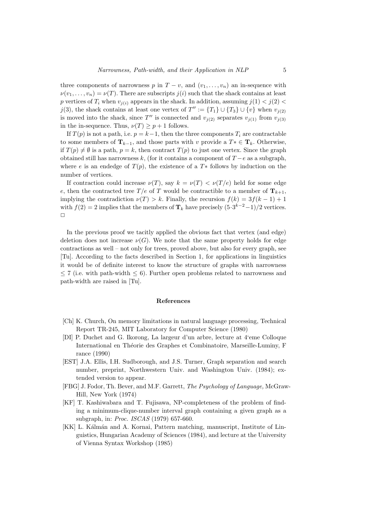three components of narrowness p in  $T - v$ , and  $(v_1, \ldots, v_n)$  an in-sequence with  $\nu(v_1, \ldots, v_n) = \nu(T)$ . There are subscripts  $j(i)$  such that the shack contains at least p vertices of  $T_i$  when  $v_{i(i)}$  appears in the shack. In addition, assuming  $j(1) < j(2)$ j(3), the shack contains at least one vertex of  $T'' := \{T_1\} \cup \{T_3\} \cup \{v\}$  when  $v_{j(2)}$ is moved into the shack, since T'' is connected and  $v_{j(2)}$  separates  $v_{j(1)}$  from  $v_{j(3)}$ in the in-sequence. Thus,  $\nu(T) \geq p+1$  follows.

If  $T(p)$  is not a path, i.e.  $p = k-1$ , then the three components  $T_i$  are contractable to some members of  $\mathbf{T}_{k-1}$ , and those parts with v provide a  $T^* \in \mathbf{T}_k$ . Otherwise, if  $T(p) \neq \emptyset$  is a path,  $p = k$ , then contract  $T(p)$  to just one vertex. Since the graph obtained still has narrowness k, (for it contains a component of  $T - e$  as a subgraph, where e is an endedge of  $T(p)$ , the existence of a  $T*$  follows by induction on the number of vertices.

If contraction could increase  $\nu(T)$ , say  $k = \nu(T) < \nu(T/e)$  held for some edge e, then the contracted tree  $T/e$  of T would be contractible to a member of  $T_{k+1}$ , implying the contradiction  $\nu(T) > k$ . Finally, the recursion  $f(k) = 3f(k-1) + 1$ with  $f(2) = 2$  implies that the members of  $\mathbf{T}_k$  have precisely  $(5 \cdot 3^{k-2} - 1)/2$  vertices.  $\Box$ 

In the previous proof we tacitly applied the obvious fact that vertex (and edge) deletion does not increase  $\nu(G)$ . We note that the same property holds for edge contractions as well – not only for trees, proved above, but also for every graph, see [Tu]. According to the facts described in Section 1, for applications in linguistics it would be of definite interest to know the structure of graphs with narrowness  $\leq$  7 (i.e. with path-width  $\leq$  6). Further open problems related to narrowness and path-width are raised in [Tu].

#### References

- [Ch] K. Church, On memory limitations in natural language processing, Technical Report TR-245, MIT Laboratory for Computer Science (1980)
- [DI] P. Duchet and G. Ikorong, La largeur d'un arbre, lecture at 4'eme Colloque International en Théorie des Graphes et Combinatoire, Marseille-Luminy, F rance (1990)
- [EST] J.A. Ellis, I.H. Sudborough, and J.S. Turner, Graph separation and search number, preprint, Northwestern Univ. and Washington Univ. (1984); extended version to appear.
- [FBG] J. Fodor, Th. Bever, and M.F. Garrett, The Psychology of Language, McGraw-Hill, New York (1974)
- [KF] T. Kashiwabara and T. Fujisawa, NP-completeness of the problem of finding a minimum-clique-number interval graph containing a given graph as a subgraph, in: Proc. ISCAS (1979) 657-660.
- [KK] L. Kálmán and A. Kornai, Pattern matching, manuscript, Institute of Linguistics, Hungarian Academy of Sciences (1984), and lecture at the University of Vienna Syntax Workshop (1985)